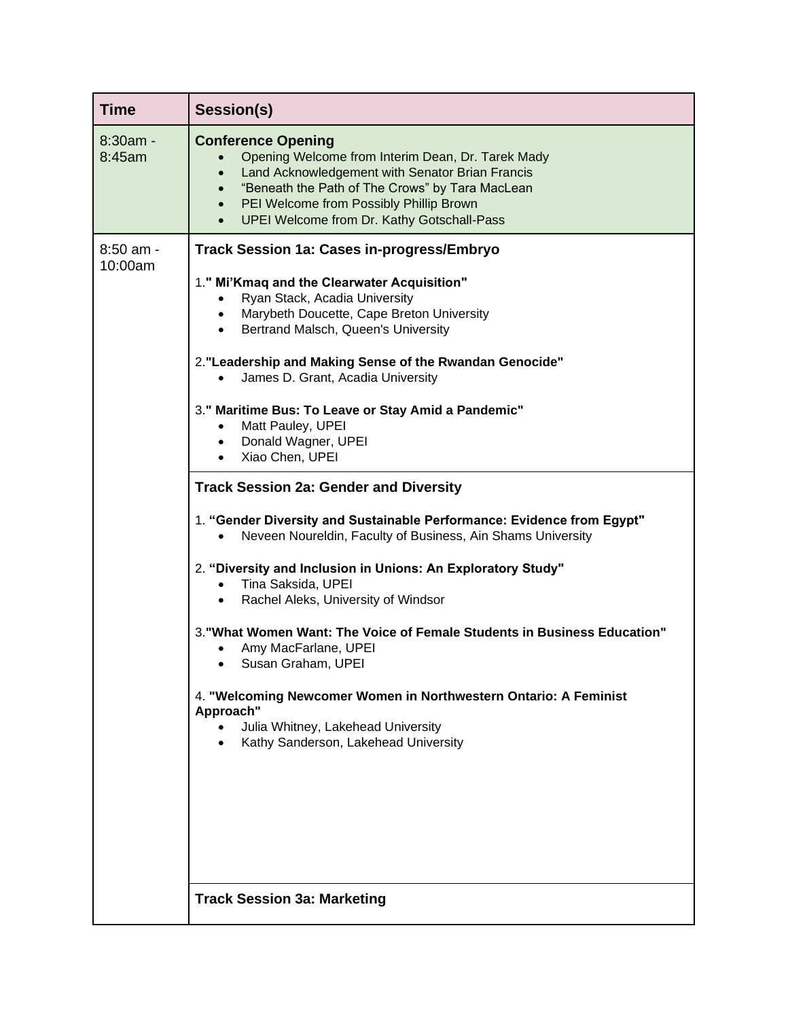| <b>Time</b>          | Session(s)                                                                                                                                                                                                                                                                                                                                                                                                                                                                                                                                                                                                                                                                                                                                                                                                                                                                                                                                                                                                                                                                                                                                                           |
|----------------------|----------------------------------------------------------------------------------------------------------------------------------------------------------------------------------------------------------------------------------------------------------------------------------------------------------------------------------------------------------------------------------------------------------------------------------------------------------------------------------------------------------------------------------------------------------------------------------------------------------------------------------------------------------------------------------------------------------------------------------------------------------------------------------------------------------------------------------------------------------------------------------------------------------------------------------------------------------------------------------------------------------------------------------------------------------------------------------------------------------------------------------------------------------------------|
| 8:30am -<br>8:45am   | <b>Conference Opening</b><br>Opening Welcome from Interim Dean, Dr. Tarek Mady<br>Land Acknowledgement with Senator Brian Francis<br>$\bullet$<br>"Beneath the Path of The Crows" by Tara MacLean<br>$\bullet$<br>PEI Welcome from Possibly Phillip Brown<br>$\bullet$<br>UPEI Welcome from Dr. Kathy Gotschall-Pass<br>$\bullet$                                                                                                                                                                                                                                                                                                                                                                                                                                                                                                                                                                                                                                                                                                                                                                                                                                    |
| 8:50 am -<br>10:00am | <b>Track Session 1a: Cases in-progress/Embryo</b><br>1." Mi'Kmaq and the Clearwater Acquisition"<br>Ryan Stack, Acadia University<br>$\bullet$<br>Marybeth Doucette, Cape Breton University<br>$\bullet$<br>Bertrand Malsch, Queen's University<br>$\bullet$<br>2. "Leadership and Making Sense of the Rwandan Genocide"<br>James D. Grant, Acadia University<br>3." Maritime Bus: To Leave or Stay Amid a Pandemic"<br>Matt Pauley, UPEI<br>$\bullet$<br>Donald Wagner, UPEI<br>$\bullet$<br>Xiao Chen, UPEI<br><b>Track Session 2a: Gender and Diversity</b><br>1. "Gender Diversity and Sustainable Performance: Evidence from Egypt"<br>Neveen Noureldin, Faculty of Business, Ain Shams University<br>2. "Diversity and Inclusion in Unions: An Exploratory Study"<br>Tina Saksida, UPEI<br>$\bullet$<br>Rachel Aleks, University of Windsor<br>$\bullet$<br>3. "What Women Want: The Voice of Female Students in Business Education"<br>Amy MacFarlane, UPEI<br>Susan Graham, UPEI<br>$\bullet$<br>4. "Welcoming Newcomer Women in Northwestern Ontario: A Feminist<br>Approach"<br>Julia Whitney, Lakehead University<br>Kathy Sanderson, Lakehead University |
|                      | <b>Track Session 3a: Marketing</b>                                                                                                                                                                                                                                                                                                                                                                                                                                                                                                                                                                                                                                                                                                                                                                                                                                                                                                                                                                                                                                                                                                                                   |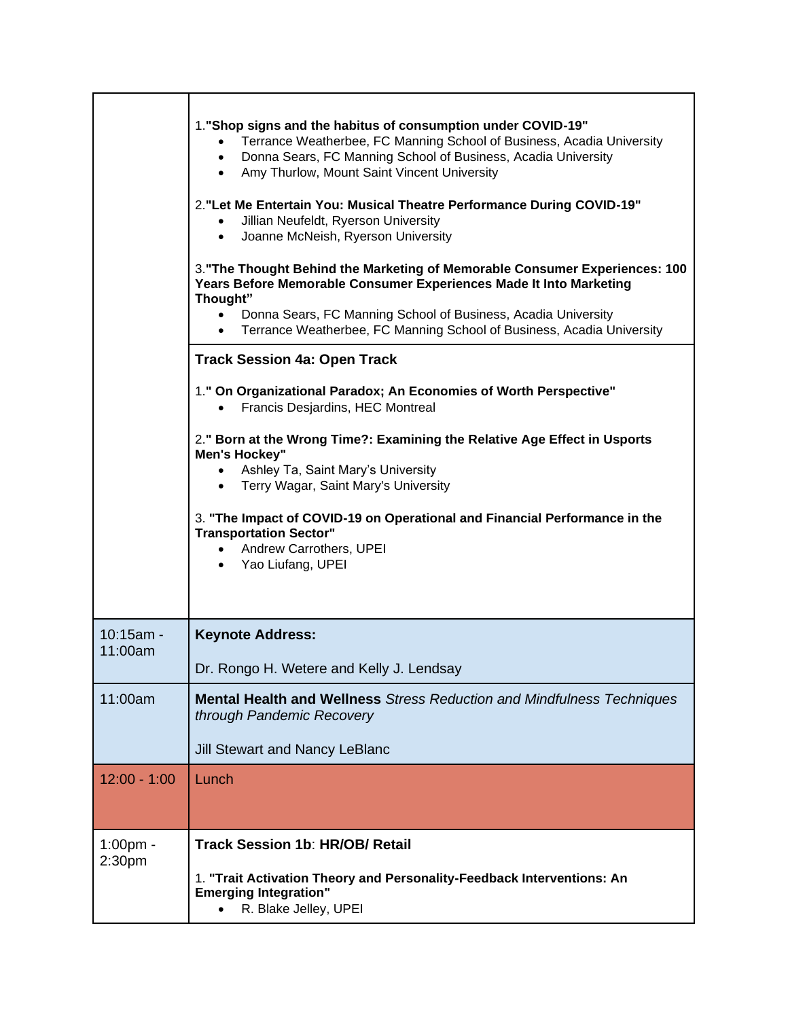|                                   | 1. "Shop signs and the habitus of consumption under COVID-19"<br>Terrance Weatherbee, FC Manning School of Business, Acadia University<br>Donna Sears, FC Manning School of Business, Acadia University<br>$\bullet$<br>• Amy Thurlow, Mount Saint Vincent University<br>2. "Let Me Entertain You: Musical Theatre Performance During COVID-19"<br>Jillian Neufeldt, Ryerson University<br>$\bullet$<br>Joanne McNeish, Ryerson University<br>$\bullet$<br>3. "The Thought Behind the Marketing of Memorable Consumer Experiences: 100<br>Years Before Memorable Consumer Experiences Made It Into Marketing<br>Thought"<br>Donna Sears, FC Manning School of Business, Acadia University<br>$\bullet$<br>Terrance Weatherbee, FC Manning School of Business, Acadia University<br>$\bullet$<br><b>Track Session 4a: Open Track</b> |
|-----------------------------------|-------------------------------------------------------------------------------------------------------------------------------------------------------------------------------------------------------------------------------------------------------------------------------------------------------------------------------------------------------------------------------------------------------------------------------------------------------------------------------------------------------------------------------------------------------------------------------------------------------------------------------------------------------------------------------------------------------------------------------------------------------------------------------------------------------------------------------------|
|                                   | 1." On Organizational Paradox; An Economies of Worth Perspective"<br>Francis Desjardins, HEC Montreal<br>$\bullet$                                                                                                                                                                                                                                                                                                                                                                                                                                                                                                                                                                                                                                                                                                                  |
|                                   | 2." Born at the Wrong Time?: Examining the Relative Age Effect in Usports<br><b>Men's Hockey"</b><br>• Ashley Ta, Saint Mary's University<br>Terry Wagar, Saint Mary's University<br>$\bullet$<br>3. "The Impact of COVID-19 on Operational and Financial Performance in the<br><b>Transportation Sector"</b><br>• Andrew Carrothers, UPEI<br>• Yao Liufang, UPEI                                                                                                                                                                                                                                                                                                                                                                                                                                                                   |
| $10:15am -$<br>11:00am            | <b>Keynote Address:</b><br>Dr. Rongo H. Wetere and Kelly J. Lendsay                                                                                                                                                                                                                                                                                                                                                                                                                                                                                                                                                                                                                                                                                                                                                                 |
| 11:00am                           | <b>Mental Health and Wellness</b> Stress Reduction and Mindfulness Techniques<br>through Pandemic Recovery<br><b>Jill Stewart and Nancy LeBlanc</b>                                                                                                                                                                                                                                                                                                                                                                                                                                                                                                                                                                                                                                                                                 |
| $12:00 - 1:00$                    | Lunch                                                                                                                                                                                                                                                                                                                                                                                                                                                                                                                                                                                                                                                                                                                                                                                                                               |
| $1:00$ pm -<br>2:30 <sub>pm</sub> | <b>Track Session 1b: HR/OB/ Retail</b><br>1. "Trait Activation Theory and Personality-Feedback Interventions: An<br><b>Emerging Integration"</b><br>R. Blake Jelley, UPEI                                                                                                                                                                                                                                                                                                                                                                                                                                                                                                                                                                                                                                                           |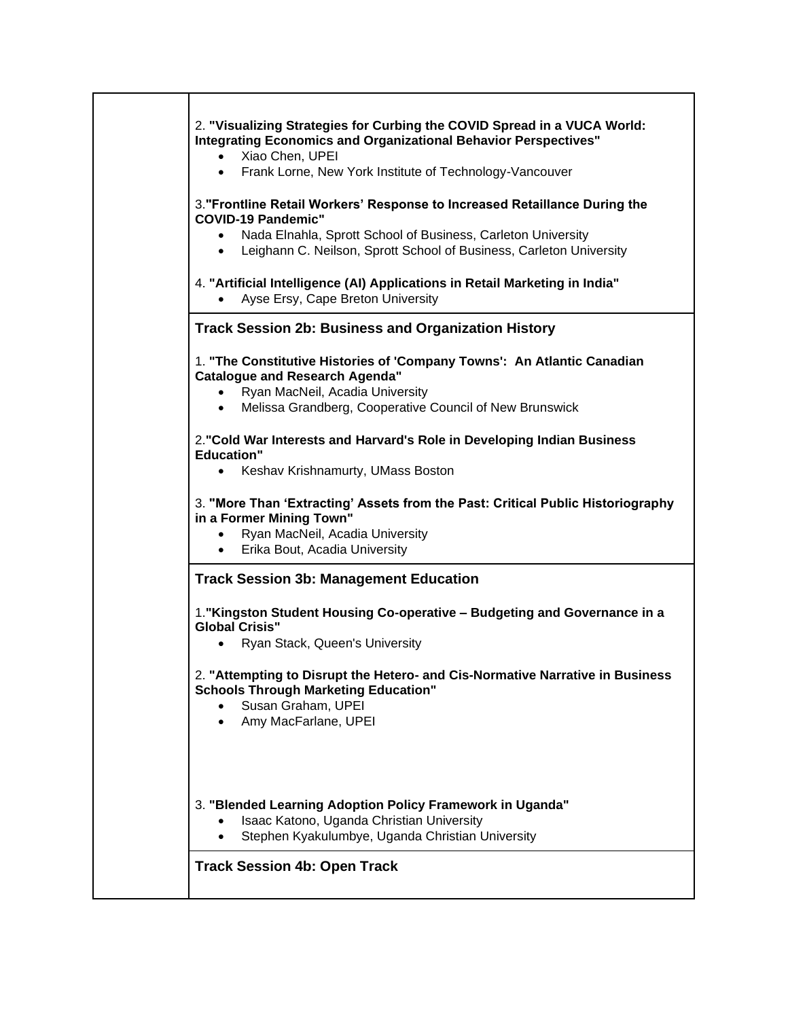| 2. "Visualizing Strategies for Curbing the COVID Spread in a VUCA World:<br><b>Integrating Economics and Organizational Behavior Perspectives"</b><br>Xiao Chen, UPEI<br>Frank Lorne, New York Institute of Technology-Vancouver<br>$\bullet$<br>3. "Frontline Retail Workers' Response to Increased Retaillance During the<br><b>COVID-19 Pandemic"</b><br>Nada Elnahla, Sprott School of Business, Carleton University<br>Leighann C. Neilson, Sprott School of Business, Carleton University<br>$\bullet$<br>4. "Artificial Intelligence (AI) Applications in Retail Marketing in India" |
|---------------------------------------------------------------------------------------------------------------------------------------------------------------------------------------------------------------------------------------------------------------------------------------------------------------------------------------------------------------------------------------------------------------------------------------------------------------------------------------------------------------------------------------------------------------------------------------------|
| Ayse Ersy, Cape Breton University<br><b>Track Session 2b: Business and Organization History</b>                                                                                                                                                                                                                                                                                                                                                                                                                                                                                             |
| 1. "The Constitutive Histories of 'Company Towns': An Atlantic Canadian<br><b>Catalogue and Research Agenda"</b><br>Ryan MacNeil, Acadia University<br>$\bullet$<br>Melissa Grandberg, Cooperative Council of New Brunswick<br>$\bullet$                                                                                                                                                                                                                                                                                                                                                    |
| 2. "Cold War Interests and Harvard's Role in Developing Indian Business<br><b>Education"</b><br>Keshav Krishnamurty, UMass Boston<br>$\bullet$                                                                                                                                                                                                                                                                                                                                                                                                                                              |
| 3. "More Than 'Extracting' Assets from the Past: Critical Public Historiography<br>in a Former Mining Town"<br>Ryan MacNeil, Acadia University<br>Erika Bout, Acadia University<br>$\bullet$                                                                                                                                                                                                                                                                                                                                                                                                |
| <b>Track Session 3b: Management Education</b>                                                                                                                                                                                                                                                                                                                                                                                                                                                                                                                                               |
| 1. "Kingston Student Housing Co-operative - Budgeting and Governance in a<br><b>Global Crisis"</b><br>Ryan Stack, Queen's University<br>$\bullet$                                                                                                                                                                                                                                                                                                                                                                                                                                           |
| 2. "Attempting to Disrupt the Hetero- and Cis-Normative Narrative in Business<br><b>Schools Through Marketing Education"</b><br>Susan Graham, UPEI<br>Amy MacFarlane, UPEI                                                                                                                                                                                                                                                                                                                                                                                                                  |
| 3. "Blended Learning Adoption Policy Framework in Uganda"<br>Isaac Katono, Uganda Christian University<br>Stephen Kyakulumbye, Uganda Christian University                                                                                                                                                                                                                                                                                                                                                                                                                                  |
| <b>Track Session 4b: Open Track</b>                                                                                                                                                                                                                                                                                                                                                                                                                                                                                                                                                         |